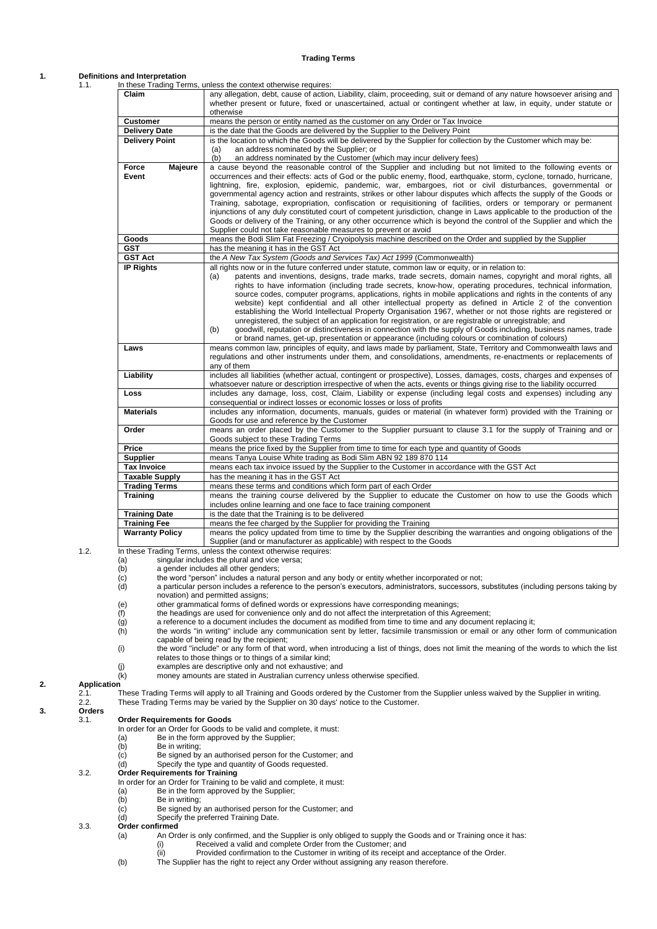### **Trading Terms**

# **1. Definitional**

| 1. |                                                                                                         | Definitions and Interpretation                                     |                                                                                                                                                                                                                                                                                                                                                                                                                                                                                                                                                                                                                                                                                                                                                                                                                                                                                                                                                                                                                                                                                                                                                                                                            |  |
|----|---------------------------------------------------------------------------------------------------------|--------------------------------------------------------------------|------------------------------------------------------------------------------------------------------------------------------------------------------------------------------------------------------------------------------------------------------------------------------------------------------------------------------------------------------------------------------------------------------------------------------------------------------------------------------------------------------------------------------------------------------------------------------------------------------------------------------------------------------------------------------------------------------------------------------------------------------------------------------------------------------------------------------------------------------------------------------------------------------------------------------------------------------------------------------------------------------------------------------------------------------------------------------------------------------------------------------------------------------------------------------------------------------------|--|
|    | 1.1.                                                                                                    | Claim                                                              | In these Trading Terms, unless the context otherwise requires:<br>any allegation, debt, cause of action, Liability, claim, proceeding, suit or demand of any nature howsoever arising and                                                                                                                                                                                                                                                                                                                                                                                                                                                                                                                                                                                                                                                                                                                                                                                                                                                                                                                                                                                                                  |  |
|    |                                                                                                         |                                                                    | whether present or future, fixed or unascertained, actual or contingent whether at law, in equity, under statute or<br>otherwise                                                                                                                                                                                                                                                                                                                                                                                                                                                                                                                                                                                                                                                                                                                                                                                                                                                                                                                                                                                                                                                                           |  |
|    |                                                                                                         | <b>Customer</b>                                                    | means the person or entity named as the customer on any Order or Tax Invoice                                                                                                                                                                                                                                                                                                                                                                                                                                                                                                                                                                                                                                                                                                                                                                                                                                                                                                                                                                                                                                                                                                                               |  |
|    |                                                                                                         | <b>Delivery Date</b>                                               | is the date that the Goods are delivered by the Supplier to the Delivery Point                                                                                                                                                                                                                                                                                                                                                                                                                                                                                                                                                                                                                                                                                                                                                                                                                                                                                                                                                                                                                                                                                                                             |  |
|    |                                                                                                         | <b>Delivery Point</b>                                              | is the location to which the Goods will be delivered by the Supplier for collection by the Customer which may be:<br>an address nominated by the Supplier; or<br>(a)                                                                                                                                                                                                                                                                                                                                                                                                                                                                                                                                                                                                                                                                                                                                                                                                                                                                                                                                                                                                                                       |  |
|    |                                                                                                         | Majeure<br>Force                                                   | (b)<br>an address nominated by the Customer (which may incur delivery fees)<br>a cause beyond the reasonable control of the Supplier and including but not limited to the following events or                                                                                                                                                                                                                                                                                                                                                                                                                                                                                                                                                                                                                                                                                                                                                                                                                                                                                                                                                                                                              |  |
|    |                                                                                                         | Event                                                              | occurrences and their effects: acts of God or the public enemy, flood, earthquake, storm, cyclone, tornado, hurricane,<br>lightning, fire, explosion, epidemic, pandemic, war, embargoes, riot or civil disturbances, governmental or<br>governmental agency action and restraints, strikes or other labour disputes which affects the supply of the Goods or<br>Training, sabotage, expropriation, confiscation or requisitioning of facilities, orders or temporary or permanent<br>injunctions of any duly constituted court of competent jurisdiction, change in Laws applicable to the production of the<br>Goods or delivery of the Training, or any other occurrence which is beyond the control of the Supplier and which the<br>Supplier could not take reasonable measures to prevent or avoid                                                                                                                                                                                                                                                                                                                                                                                                   |  |
|    |                                                                                                         | Goods                                                              | means the Bodi Slim Fat Freezing / Cryoipolysis machine described on the Order and supplied by the Supplier                                                                                                                                                                                                                                                                                                                                                                                                                                                                                                                                                                                                                                                                                                                                                                                                                                                                                                                                                                                                                                                                                                |  |
|    |                                                                                                         | <b>GST</b>                                                         | has the meaning it has in the GST Act                                                                                                                                                                                                                                                                                                                                                                                                                                                                                                                                                                                                                                                                                                                                                                                                                                                                                                                                                                                                                                                                                                                                                                      |  |
|    |                                                                                                         | <b>GST Act</b>                                                     | the A New Tax System (Goods and Services Tax) Act 1999 (Commonwealth)                                                                                                                                                                                                                                                                                                                                                                                                                                                                                                                                                                                                                                                                                                                                                                                                                                                                                                                                                                                                                                                                                                                                      |  |
|    |                                                                                                         | <b>IP Rights</b>                                                   | all rights now or in the future conferred under statute, common law or equity, or in relation to:<br>patents and inventions, designs, trade marks, trade secrets, domain names, copyright and moral rights, all<br>(a)<br>rights to have information (including trade secrets, know-how, operating procedures, technical information,<br>source codes, computer programs, applications, rights in mobile applications and rights in the contents of any<br>website) kept confidential and all other intellectual property as defined in Article 2 of the convention<br>establishing the World Intellectual Property Organisation 1967, whether or not those rights are registered or<br>unregistered, the subject of an application for registration, or are registrable or unregistrable; and<br>goodwill, reputation or distinctiveness in connection with the supply of Goods including, business names, trade<br>(b)<br>or brand names, get-up, presentation or appearance (including colours or combination of colours)                                                                                                                                                                               |  |
|    |                                                                                                         | Laws                                                               | means common law, principles of equity, and laws made by parliament, State, Territory and Commonwealth laws and<br>regulations and other instruments under them, and consolidations, amendments, re-enactments or replacements of<br>any of them                                                                                                                                                                                                                                                                                                                                                                                                                                                                                                                                                                                                                                                                                                                                                                                                                                                                                                                                                           |  |
|    |                                                                                                         | Liability                                                          | includes all liabilities (whether actual, contingent or prospective), Losses, damages, costs, charges and expenses of<br>whatsoever nature or description irrespective of when the acts, events or things giving rise to the liability occurred                                                                                                                                                                                                                                                                                                                                                                                                                                                                                                                                                                                                                                                                                                                                                                                                                                                                                                                                                            |  |
|    |                                                                                                         | Loss                                                               | includes any damage, loss, cost, Claim, Liability or expense (including legal costs and expenses) including any<br>consequential or indirect losses or economic losses or loss of profits                                                                                                                                                                                                                                                                                                                                                                                                                                                                                                                                                                                                                                                                                                                                                                                                                                                                                                                                                                                                                  |  |
|    |                                                                                                         | <b>Materials</b>                                                   | includes any information, documents, manuals, guides or material (in whatever form) provided with the Training or<br>Goods for use and reference by the Customer                                                                                                                                                                                                                                                                                                                                                                                                                                                                                                                                                                                                                                                                                                                                                                                                                                                                                                                                                                                                                                           |  |
|    |                                                                                                         | Order                                                              | means an order placed by the Customer to the Supplier pursuant to clause 3.1 for the supply of Training and or<br>Goods subject to these Trading Terms                                                                                                                                                                                                                                                                                                                                                                                                                                                                                                                                                                                                                                                                                                                                                                                                                                                                                                                                                                                                                                                     |  |
|    |                                                                                                         | Price                                                              | means the price fixed by the Supplier from time to time for each type and quantity of Goods                                                                                                                                                                                                                                                                                                                                                                                                                                                                                                                                                                                                                                                                                                                                                                                                                                                                                                                                                                                                                                                                                                                |  |
|    |                                                                                                         | <b>Supplier</b>                                                    | means Tanya Louise White trading as Bodi Slim ABN 92 189 870 114                                                                                                                                                                                                                                                                                                                                                                                                                                                                                                                                                                                                                                                                                                                                                                                                                                                                                                                                                                                                                                                                                                                                           |  |
|    |                                                                                                         | <b>Tax Invoice</b>                                                 | means each tax invoice issued by the Supplier to the Customer in accordance with the GST Act                                                                                                                                                                                                                                                                                                                                                                                                                                                                                                                                                                                                                                                                                                                                                                                                                                                                                                                                                                                                                                                                                                               |  |
|    |                                                                                                         | <b>Taxable Supply</b>                                              | has the meaning it has in the GST Act                                                                                                                                                                                                                                                                                                                                                                                                                                                                                                                                                                                                                                                                                                                                                                                                                                                                                                                                                                                                                                                                                                                                                                      |  |
|    |                                                                                                         | <b>Trading Terms</b><br><b>Training</b>                            | means these terms and conditions which form part of each Order<br>means the training course delivered by the Supplier to educate the Customer on how to use the Goods which<br>includes online learning and one face to face training component                                                                                                                                                                                                                                                                                                                                                                                                                                                                                                                                                                                                                                                                                                                                                                                                                                                                                                                                                            |  |
|    |                                                                                                         | <b>Training Date</b>                                               | is the date that the Training is to be delivered                                                                                                                                                                                                                                                                                                                                                                                                                                                                                                                                                                                                                                                                                                                                                                                                                                                                                                                                                                                                                                                                                                                                                           |  |
|    |                                                                                                         | <b>Training Fee</b>                                                | means the fee charged by the Supplier for providing the Training                                                                                                                                                                                                                                                                                                                                                                                                                                                                                                                                                                                                                                                                                                                                                                                                                                                                                                                                                                                                                                                                                                                                           |  |
|    |                                                                                                         | <b>Warranty Policy</b>                                             | means the policy updated from time to time by the Supplier describing the warranties and ongoing obligations of the<br>Supplier (and or manufacturer as applicable) with respect to the Goods                                                                                                                                                                                                                                                                                                                                                                                                                                                                                                                                                                                                                                                                                                                                                                                                                                                                                                                                                                                                              |  |
|    | 1.2.                                                                                                    | (a)<br>(b)<br>(c)<br>(d)<br>(e)<br>(f)<br>(g)<br>(h)<br>(i)<br>(j) | In these Trading Terms, unless the context otherwise requires:<br>singular includes the plural and vice versa;<br>a gender includes all other genders;<br>the word "person" includes a natural person and any body or entity whether incorporated or not;<br>a particular person includes a reference to the person's executors, administrators, successors, substitutes (including persons taking by<br>novation) and permitted assigns;<br>other grammatical forms of defined words or expressions have corresponding meanings;<br>the headings are used for convenience only and do not affect the interpretation of this Agreement;<br>a reference to a document includes the document as modified from time to time and any document replacing it;<br>the words "in writing" include any communication sent by letter, facsimile transmission or email or any other form of communication<br>capable of being read by the recipient;<br>the word "include" or any form of that word, when introducing a list of things, does not limit the meaning of the words to which the list<br>relates to those things or to things of a similar kind;<br>examples are descriptive only and not exhaustive; and |  |
| 2. | <b>Application</b><br>2.1.                                                                              | (k)                                                                | money amounts are stated in Australian currency unless otherwise specified.<br>These Trading Terms will apply to all Training and Goods ordered by the Customer from the Supplier unless waived by the Supplier in writing.                                                                                                                                                                                                                                                                                                                                                                                                                                                                                                                                                                                                                                                                                                                                                                                                                                                                                                                                                                                |  |
| 3. | These Trading Terms may be varied by the Supplier on 30 days' notice to the Customer.<br>2.2.<br>Orders |                                                                    |                                                                                                                                                                                                                                                                                                                                                                                                                                                                                                                                                                                                                                                                                                                                                                                                                                                                                                                                                                                                                                                                                                                                                                                                            |  |
|    | 3.1.                                                                                                    | <b>Order Requirements for Goods</b>                                | In order for an Order for Goods to be valid and complete, it must:                                                                                                                                                                                                                                                                                                                                                                                                                                                                                                                                                                                                                                                                                                                                                                                                                                                                                                                                                                                                                                                                                                                                         |  |

- 
- (b) Be in writing;
- (a) Be in the form approved by the Supplier;<br>
(b) Be in writing;<br>
(c) Be signed by an authorised person for th (c) Be signed by an authorised person for the Customer; and
- (d) Specify the type and quantity of Goods requested.
- <span id="page-0-0"></span>3.2. **Order Requirements for Training**

In order for an Order for Training to be valid and complete, it must:

- (a) Be in the form approved by the Supplier;
- (b) Be in writing;
- (c) Be signed by an authorised person for the Customer; and
- (d) Specify the preferred Training Date.

# 3.3. **Order confirmed**<br>(a) An Order

- An Order is only confirmed, and the Supplier is only obliged to supply the Goods and or Training once it has: (i) Received a valid and complete Order from the Customer; and
- (ii) Provided confirmation to the Customer in writing of its receipt and acceptance of the Order.
- (b) The Supplier has the right to reject any Order without assigning any reason therefore.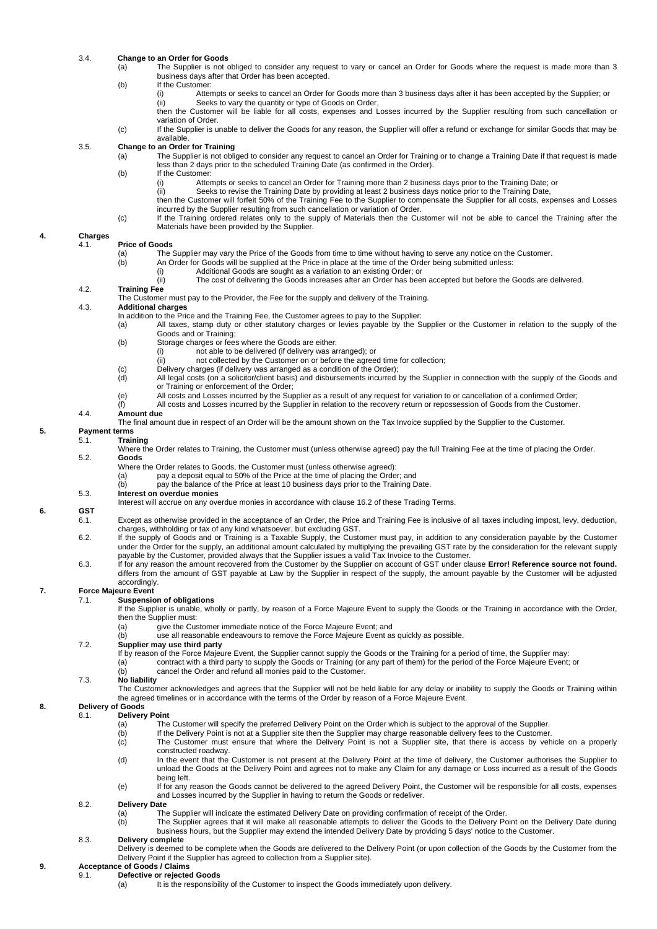# 3.4. **Change to an Order for Goods**

- The Supplier is not obliged to consider any request to vary or cancel an Order for Goods where the request is made more than 3 business days after that Order has been accepted.
- (b) If the Customer:
	- once the cast of the metal and order for Goods more than 3 business days after it has been accepted by the Supplier; or<br>(ii) Seeks to vary the quantity or type of Goods on Order. Seeks to vary the quantity or type of Goods on Order,

then the Customer will be liable for all costs, expenses and Losses incurred by the Supplier resulting from such cancellation or variation of Order.

(c) If the Supplier is unable to deliver the Goods for any reason, the Supplier will offer a refund or exchange for similar Goods that may be available.

### 3.5. **Change to an Order for Training**

- (a) The Supplier is not obliged to consider any request to cancel an Order for Training or to change a Training Date if that request is made less than 2 days prior to the scheduled Training Date (as confirmed in the Order).
	- (b) If the Customer:
		- (i) Attempts or seeks to cancel an Order for Training more than 2 business days prior to the Training Date; or<br>(ii) Seeks to revise the Training Date by providing at least 2 business days notice prior to the Training Date
		- Seeks to revise the Training Date by providing at least 2 business days notice prior to the Training Date, then the Customer will forfeit 50% of the Training Fee to the Supplier to compensate the Supplier for all costs, expenses and Losses incurred by the Supplier resulting from such cancellation or variation of Order.
	- (c) If the Training ordered relates only to the supply of Materials then the Customer will not be able to cancel the Training after the Materials have been provided by the Supplier.

#### **4. Charges** 4.1. **Price of Goods**

- (a) The Supplier may vary the Price of the Goods from time to time without having to serve any notice on the Customer.<br>(b) An Order for Goods will be supplied at the Price in place at the time of the Order being submitted
	- An Order for Goods will be supplied at the Price in place at the time of the Order being submitted unless:<br>(i) Additional Goods are sought as a variation to an existing Order; or
		- Additional Goods are sought as a variation to an existing Order; or
		- (ii) The cost of delivering the Goods increases after an Order has been accepted but before the Goods are delivered.

### 4.2. **Training Fee**

The Customer must pay to the Provider, the Fee for the supply and delivery of the Training.

4.3. **Additional charges**

- In addition to the Price and the Training Fee, the Customer agrees to pay to the Supplier:<br>(a) All taxes, stamp duty or other statutory charges or levies payable by the S
- All taxes, stamp duty or other statutory charges or levies payable by the Supplier or the Customer in relation to the supply of the Goods and or Training;
	- (b) Storage charges or fees where the Goods are either:
		- (i) not able to be delivered (if delivery was arranged); or
			- (ii) not collected by the Customer on or before the agreed time for collection;
	- (c) Delivery charges (if delivery was arranged as a condition of the Order);
	- (d) All legal costs (on a solicitor/client basis) and disbursements incurred by the Supplier in connection with the supply of the Goods and or Training or enforcement of the Order;
	- (e) All costs and Losses incurred by the Supplier as a result of any request for variation to or cancellation of a confirmed Order;<br>(f) All costs and Losses incurred by the Supplier in relation to the recovery return or re All costs and Losses incurred by the Supplier in relation to the recovery return or repossession of Goods from the Customer.
- 

5.1. **Training**

### 4.4. **Amount due**

The final amount due in respect of an Order will be the amount shown on the Tax Invoice supplied by the Supplier to the Customer.

### **5. Payment terms**

Where the Order relates to Training, the Customer must (unless otherwise agreed) pay the full Training Fee at the time of placing the Order. 5.2. **Goods**

- 
- Where the Order relates to Goods, the Customer must (unless otherwise agreed):<br>(a) pay a deposit equal to 50% of the Price at the time of placing the Orde pay a deposit equal to 50% of the Price at the time of placing the Order; and
- (b) pay the balance of the Price at least 10 business days prior to the Training Date.
- 5.3. **Interest on overdue monies**

Interest will accrue on any overdue monies in accordance with claus[e 16.2](#page-2-0) of these Trading Terms.

# **6. GST**

- Except as otherwise provided in the acceptance of an Order, the Price and Training Fee is inclusive of all taxes including impost, levy, deduction, charges, withholding or tax of any kind whatsoever, but excluding GST.
- 6.2. If the supply of Goods and or Training is a Taxable Supply, the Customer must pay, in addition to any consideration payable by the Customer under the Order for the supply, an additional amount calculated by multiplying the prevailing GST rate by the consideration for the relevant supply payable by the Customer, provided always that the Supplier issues a valid Tax Invoice to the Customer.
- 6.3. If for any reason the amount recovered from the Customer by the Supplier on account of GST under clause **Error! Reference source not found.** differs from the amount of GST payable at Law by the Supplier in respect of the supply, the amount payable by the Customer will be adjusted accordingly.

# **7. Force Majeure Event**

- **Suspension of obligations**
- If the Supplier is unable, wholly or partly, by reason of a Force Majeure Event to supply the Goods or the Training in accordance with the Order, then the Supplier must:
	- (a) give the Customer immediate notice of the Force Majeure Event; and
	- (b) use all reasonable endeavours to remove the Force Majeure Event as quickly as possible.

### 7.2. **Supplier may use third party**

- If by reason of the Force Majeure Event, the Supplier cannot supply the Goods or the Training for a period of time, the Supplier may:<br>(a) contract with a third party to supply the Goods or Training (or any part of them) fo
	- contract with a third party to supply the Goods or Training (or any part of them) for the period of the Force Majeure Event; or
	- (b) cancel the Order and refund all monies paid to the Customer.

### 7.3. **No liability**

The Customer acknowledges and agrees that the Supplier will not be held liable for any delay or inability to supply the Goods or Training within the agreed timelines or in accordance with the terms of the Order by reason of a Force Majeure Event.

# **8. Delivery of Goods**

- **Delivery Point**<br>(a) The
	- The Customer will specify the preferred Delivery Point on the Order which is subject to the approval of the Supplier.
	- (b) If the Delivery Point is not at a Supplier site then the Supplier may charge reasonable delivery fees to the Customer.
	- (c) The Customer must ensure that where the Delivery Point is not a Supplier site, that there is access by vehicle on a properly constructed roadway.
	- (d) In the event that the Customer is not present at the Delivery Point at the time of delivery, the Customer authorises the Supplier to unload the Goods at the Delivery Point and agrees not to make any Claim for any damage or Loss incurred as a result of the Goods being left.
	- (e) If for any reason the Goods cannot be delivered to the agreed Delivery Point, the Customer will be responsible for all costs, expenses and Losses incurred by the Supplier in having to return the Goods or redeliver.

### 8.2. **Delivery Date**

- (a) The Supplier will indicate the estimated Delivery Date on providing confirmation of receipt of the Order.
- (b) The Supplier agrees that it will make all reasonable attempts to deliver the Goods to the Delivery Point on the Delivery Date during business hours, but the Supplier may extend the intended Delivery Date by providing 5 days' notice to the Customer.

### 8.3. **Delivery complete**

Delivery is deemed to be complete when the Goods are delivered to the Delivery Point (or upon collection of the Goods by the Customer from the Delivery Point if the Supplier has agreed to collection from a Supplier site).

### **9. Acceptance of Goods / Claims**

- 9.1. **Defective or rejected Goods**
	- It is the responsibility of the Customer to inspect the Goods immediately upon delivery.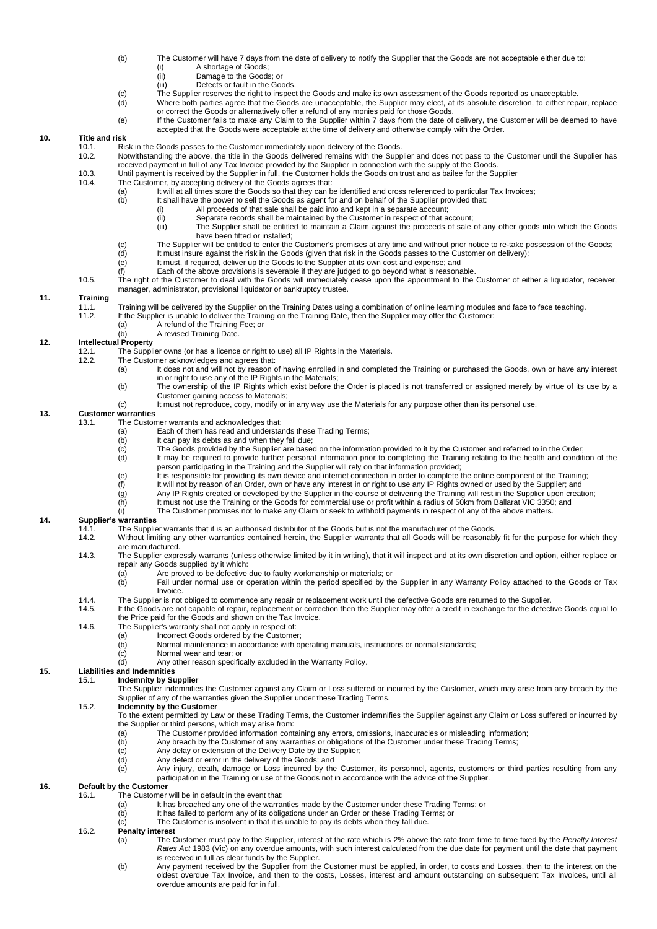# (b) The Customer will have 7 days from the date of delivery to notify the Supplier that the Goods are not acceptable either due to:<br>(i) A shortage of Goods:

- (i) A shortage of Goods<br>(ii) Damage to the Good
- (ii) Damage to the Goods; or<br>(iii) Defects or fault in the Goods
- Defects or fault in the Goods.
- (c) The Supplier reserves the right to inspect the Goods and make its own assessment of the Goods reported as unacceptable.<br>(d) Where both parties agree that the Goods are unacceptable, the Supplier may elect, at its absol (d) Where both parties agree that the Goods are unacceptable, the Supplier may elect, at its absolute discretion, to either repair, replace
- or correct the Goods or alternatively offer a refund of any monies paid for those Goods.
	- (e) If the Customer fails to make any Claim to the Supplier within 7 days from the date of delivery, the Customer will be deemed to have accepted that the Goods were acceptable at the time of delivery and otherwise comply with the Order.

### **10. Title and risk**

- 10.1. Risk in the Goods passes to the Customer immediately upon delivery of the Goods.<br>10.2 Notwithstanding the above the title in the Goods delivered remains with the Supp
- 10.2. Notwithstanding the above, the title in the Goods delivered remains with the Supplier and does not pass to the Customer until the Supplier has received payment in full of any Tax Invoice provided by the Supplier in connection with the supply of the Goods.
- 10.3. Until payment is received by the Supplier in full, the Customer holds the Goods on trust and as bailee for the Supplier<br>10.4. The Customer, by accepting delivery of the Goods agrees that:
	- The Customer, by accepting delivery of the Goods agrees that:<br>(a) It will at all times store the Goods so that they can b
		- (a) It will at all times store the Goods so that they can be identified and cross referenced to particular Tax Invoices;<br>(b) It shall have the power to sell the Goods as agent for and on behalf of the Supplier provided tha
			- It shall have the power to sell the Goods as agent for and on behalf of the Supplier provided that:<br>(i) All proceeds of that sale shall be paid into and kept in a separate account:
				- All proceeds of that sale shall be paid into and kept in a separate account;
				- (ii) Separate records shall be maintained by the Customer in respect of that account;
			- (iii) The Supplier shall be entitled to maintain a Claim against the proceeds of sale of any other goods into which the Goods have been fitted or installed;
		- (c) The Supplier will be entitled to enter the Customer's premises at any time and without prior notice to re-take possession of the Goods;<br>(d) It must insure against the risk in the Goods (given that risk in the Goods pas
		- (d) It must insure against the risk in the Goods (given that risk in the Goods passes to the Customer on delivery);
		- (e) It must, if required, deliver up the Goods to the Supplier at its own cost and expense; and<br>(f) Each of the above provisions is severable if they are judged to go beyond what is reasona
		- Each of the above provisions is severable if they are judged to go beyond what is reasonable.
- 10.5. The right of the Customer to deal with the Goods will immediately cease upon the appointment to the Customer of either a liquidator, receiver, manager, administrator, provisional liquidator or bankruptcy trustee.

# **11. Training**

- 11.1. Training will be delivered by the Supplier on the Training Dates using a combination of online learning modules and face to face teaching.<br>11.2. If the Supplier is unable to deliver the Training on the Training Date.
- If the Supplier is unable to deliver the Training on the Training Date, then the Supplier may offer the Customer:<br>(a) A refund of the Training Fee; or
	- (a) A refund of the Training Fee; or<br>(b) A revised Training Date.
	- A revised Training Date.

### **12. Intellectual Property**

- 12.1. The Supplier owns (or has a licence or right to use) all IP Rights in the Materials.<br>12.2. The Customer acknowledges and agrees that:
- The Customer acknowledges and agrees that:<br>(a) lt does not and will not by reason of
	- It does not and will not by reason of having enrolled in and completed the Training or purchased the Goods, own or have any interest in or right to use any of the IP Rights in the Materials;
	- (b) The ownership of the IP Rights which exist before the Order is placed is not transferred or assigned merely by virtue of its use by a Customer gaining access to Materials;
	- (c) It must not reproduce, copy, modify or in any way use the Materials for any purpose other than its personal use.

### **13. Customer warranties**

- 13.1. The Customer warrants and acknowledges that:
	- (a) Each of them has read and understands these Trading Terms;<br>(b) It can pay its debts as and when they fall due;
	- (b) It can pay its debts as and when they fall due;<br>(c) The Goods provided by the Supplier are base
	- (c) The Goods provided by the Supplier are based on the information provided to it by the Customer and referred to in the Order;<br>(d) It may be required to provide further personal information prior to completing the Traini
	- It may be required to provide further personal information prior to completing the Training relating to the health and condition of the person participating in the Training and the Supplier will rely on that information provided;
	- (e) It is responsible for providing its own device and internet connection in order to complete the online component of the Training;
	- (f) It will not by reason of an Order, own or have any interest in or right to use any IP Rights owned or used by the Supplier; and<br>(g) Any IP Rights created or developed by the Supplier in the course of delivering the Tra
	- (g) Any IP Rights created or developed by the Supplier in the course of delivering the Training will rest in the Supplier upon creation;
	- (h) It must not use the Training or the Goods for commercial use or profit within a radius of 50km from Ballarat VIC 3350; and
	- $(i)$  The Customer promises not to make any Claim or seek to withhold payments in respect of any of the above matters.

# **14. Supplier's warranties**

- 14.1. The Supplier warrants that it is an authorised distributor of the Goods but is not the manufacturer of the Goods.<br>14.2. Without limiting any other warranties contained herein, the Supplier warrants that all Goods wil
- Without limiting any other warranties contained herein, the Supplier warrants that all Goods will be reasonably fit for the purpose for which they are manufactured.
- 14.3. The Supplier expressly warrants (unless otherwise limited by it in writing), that it will inspect and at its own discretion and option, either replace or repair any Goods supplied by it which:
	- (a) Are proved to be defective due to faulty workmanship or materials; or<br>(b) Fail under normal use or operation within the period specified by th
		- Fail under normal use or operation within the period specified by the Supplier in any Warranty Policy attached to the Goods or Tax **Invoice**
- 14.4. The Supplier is not obliged to commence any repair or replacement work until the defective Goods are returned to the Supplier.<br>14.5. If the Goods are not capable of repair, replacement or correction then the Supplier
- If the Goods are not capable of repair, replacement or correction then the Supplier may offer a credit in exchange for the defective Goods equal to the Price paid for the Goods and shown on the Tax Invoice.
- 14.6. The Supplier's warranty shall not apply in respect of:
	-
	- (a) Incorrect Goods ordered by the Customer;<br>(b) Normal maintenance in accordance with o (b) Normal maintenance in accordance with operating manuals, instructions or normal standards;<br>(c) Normal wear and tear; or
	- (c) Normal wear and tear; or<br>(d) Any other reason specific
	- Any other reason specifically excluded in the Warranty Policy.

### **15. Liabilities and Indemnities**

### **Indemnity by Supplier**

The Supplier indemnifies the Customer against any Claim or Loss suffered or incurred by the Customer, which may arise from any breach by the Supplier of any of the warranties given the Supplier under these Trading Terms.

### 15.2. **Indemnity by the Customer**

- To the extent permitted by Law or these Trading Terms, the Customer indemnifies the Supplier against any Claim or Loss suffered or incurred by
	- the Supplier or third persons, which may arise from:<br>
	(a) The Customer provided information cont<br>
	(b) Any breach by the Customer of any warr The Customer provided information containing any errors, omissions, inaccuracies or misleading information;
	- Any breach by the Customer of any warranties or obligations of the Customer under these Trading Terms;
	- (c) Any delay or extension of the Delivery Date by the Supplier;
- (d) Any defect or error in the delivery of the Goods; and
- (e) Any injury, death, damage or Loss incurred by the Customer, its personnel, agents, customers or third parties resulting from any participation in the Training or use of the Goods not in accordance with the advice of the Supplier.

# **16. Default by the Customer**

- The Customer will be in default in the event that:
	- (a) It has breached any one of the warranties made by the Customer under these Trading Terms; or<br>(b) It has failed to perform any of its obligations under an Order or these Trading Terms; or
	- It has failed to perform any of its obligations under an Order or these Trading Terms; or
	- (c) The Customer is insolvent in that it is unable to pay its debts when they fall due.

### <span id="page-2-0"></span>16.2. **Penalty interest**

- (a) The Customer must pay to the Supplier, interest at the rate which is 2% above the rate from time to time fixed by the *Penalty Interest Rates Act* 1983 (Vic) on any overdue amounts, with such interest calculated from the due date for payment until the date that payment is received in full as clear funds by the Supplier.
- (b) Any payment received by the Supplier from the Customer must be applied, in order, to costs and Losses, then to the interest on the oldest overdue Tax Invoice, and then to the costs, Losses, interest and amount outstanding on subsequent Tax Invoices, until all overdue amounts are paid for in full.